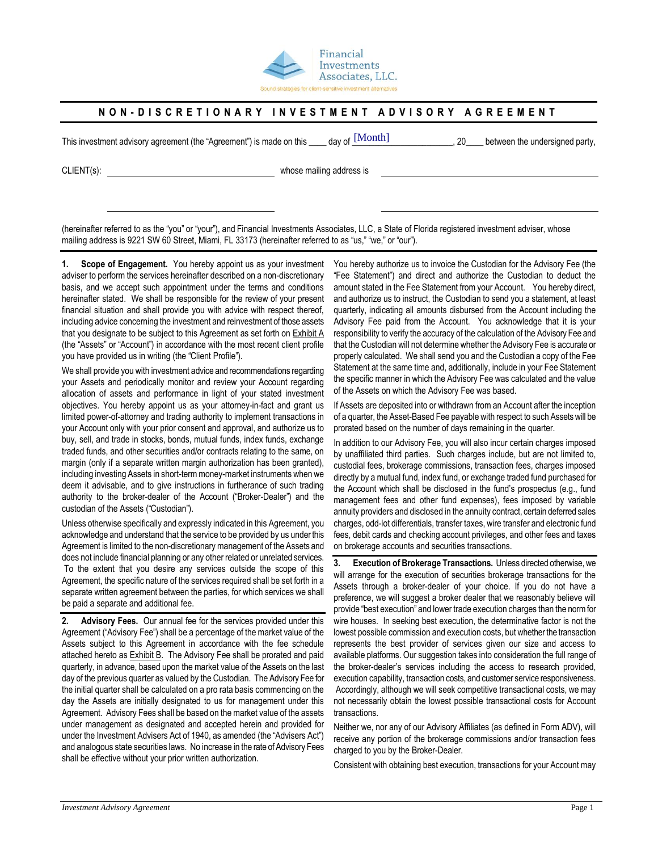

## NON-DISCRETIONARY INVESTMENT ADVISORY AGREEMENT

This investment advisory agreement (the "Agreement") is made on this \_\_\_\_ day of  $\frac{[MOnth]}{[MOnth]}$  20\_\_\_ between the undersigned party,

day of [Month]

CLIENT(s): whose mailing address is

(hereinafter referred to as the "you" or "your"), and Financial Investments Associates, LLC, a State of Florida registered investment adviser, whose mailing address is 9221 SW 60 Street, Miami, FL 33173 (hereinafter referred to as "us," "we," or "our").

**1. Scope of Engagement.** You hereby appoint us as your investment adviser to perform the services hereinafter described on a non-discretionary basis, and we accept such appointment under the terms and conditions hereinafter stated. We shall be responsible for the review of your present financial situation and shall provide you with advice with respect thereof, including advice concerning the investment and reinvestment of those assets that you designate to be subject to this Agreement as set forth on **Exhibit A** (the "Assets" or "Account") in accordance with the most recent client profile you have provided us in writing (the "Client Profile").

We shall provide you with investment advice and recommendations regarding your Assets and periodically monitor and review your Account regarding allocation of assets and performance in light of your stated investment objectives. You hereby appoint us as your attorney-in-fact and grant us limited power-of-attorney and trading authority to implement transactions in your Account only with your prior consent and approval, and authorize us to buy, sell, and trade in stocks, bonds, mutual funds, index funds, exchange traded funds, and other securities and/or contracts relating to the same, on margin (only if a separate written margin authorization has been granted), including investing Assets in short-term money-market instruments when we deem it advisable, and to give instructions in furtherance of such trading authority to the broker-dealer of the Account ("Broker-Dealer") and the custodian of the Assets ("Custodian").

Unless otherwise specifically and expressly indicated in this Agreement, you acknowledge and understand that the service to be provided by us under this Agreement is limited to the non-discretionary management of the Assets and does not include financial planning or any other related or unrelated services. To the extent that you desire any services outside the scope of this Agreement, the specific nature of the services required shall be set forth in a separate written agreement between the parties, for which services we shall be paid a separate and additional fee.

**2. Advisory Fees.** Our annual fee for the services provided under this Agreement ("Advisory Fee") shall be a percentage of the market value of the Assets subject to this Agreement in accordance with the fee schedule attached hereto as Exhibit B. The Advisory Fee shall be prorated and paid quarterly, in advance, based upon the market value of the Assets on the last day of the previous quarter as valued by the Custodian. The Advisory Fee for the initial quarter shall be calculated on a pro rata basis commencing on the day the Assets are initially designated to us for management under this Agreement. Advisory Fees shall be based on the market value of the assets under management as designated and accepted herein and provided for under the Investment Advisers Act of 1940, as amended (the "Advisers Act") and analogous state securities laws. No increase in the rate of Advisory Fees shall be effective without your prior written authorization.

You hereby authorize us to invoice the Custodian for the Advisory Fee (the "Fee Statement") and direct and authorize the Custodian to deduct the amount stated in the Fee Statement from your Account. You hereby direct, and authorize us to instruct, the Custodian to send you a statement, at least quarterly, indicating all amounts disbursed from the Account including the Advisory Fee paid from the Account. You acknowledge that it is your responsibility to verify the accuracy of the calculation of the Advisory Fee and that the Custodian will not determine whether the Advisory Fee is accurate or properly calculated. We shall send you and the Custodian a copy of the Fee Statement at the same time and, additionally, include in your Fee Statement the specific manner in which the Advisory Fee was calculated and the value of the Assets on which the Advisory Fee was based.

If Assets are deposited into or withdrawn from an Account after the inception of a quarter, the Asset-Based Fee payable with respect to such Assets will be prorated based on the number of days remaining in the quarter.

In addition to our Advisory Fee, you will also incur certain charges imposed by unaffiliated third parties. Such charges include, but are not limited to, custodial fees, brokerage commissions, transaction fees, charges imposed directly by a mutual fund, index fund, or exchange traded fund purchased for the Account which shall be disclosed in the fund's prospectus (e.g., fund management fees and other fund expenses), fees imposed by variable annuity providers and disclosed in the annuity contract, certain deferred sales charges, odd-lot differentials, transfer taxes, wire transfer and electronic fund fees, debit cards and checking account privileges, and other fees and taxes on brokerage accounts and securities transactions.

**3. Execution of Brokerage Transactions.** Unless directed otherwise, we will arrange for the execution of securities brokerage transactions for the Assets through a broker-dealer of your choice. If you do not have a preference, we will suggest a broker dealer that we reasonably believe will provide "best execution" and lower trade execution charges than the norm for wire houses. In seeking best execution, the determinative factor is not the lowest possible commission and execution costs, but whether the transaction represents the best provider of services given our size and access to available platforms. Our suggestion takes into consideration the full range of the broker-dealer's services including the access to research provided, execution capability, transaction costs, and customer service responsiveness. Accordingly, although we will seek competitive transactional costs, we may not necessarily obtain the lowest possible transactional costs for Account transactions.

Neither we, nor any of our Advisory Affiliates (as defined in Form ADV), will receive any portion of the brokerage commissions and/or transaction fees charged to you by the Broker-Dealer.

Consistent with obtaining best execution, transactions for your Account may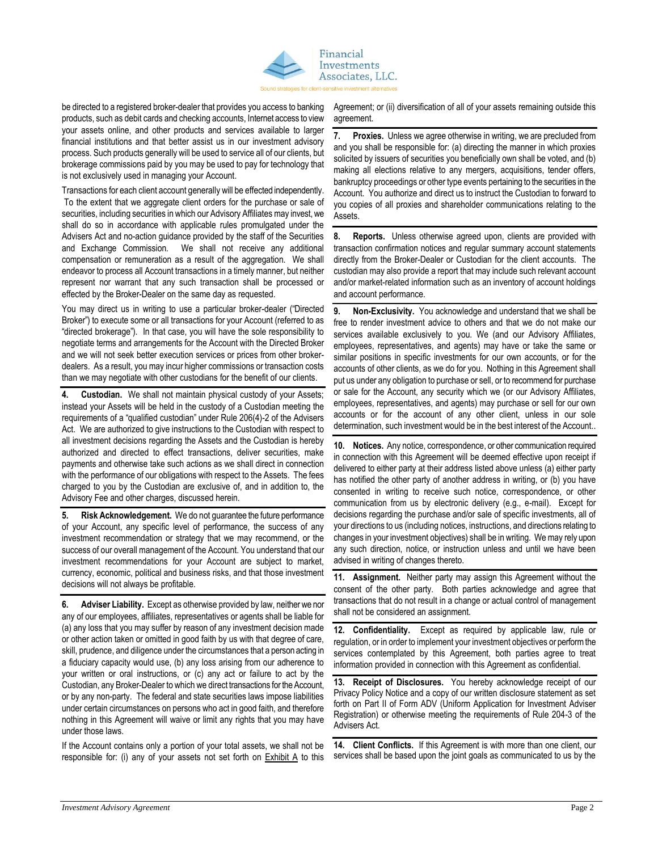

be directed to a registered broker-dealer that provides you access to banking products, such as debit cards and checking accounts, Internet access to view your assets online, and other products and services available to larger financial institutions and that better assist us in our investment advisory process. Such products generally will be used to service all of our clients, but brokerage commissions paid by you may be used to pay for technology that is not exclusively used in managing your Account.

Transactions for each client account generally will be effected independently. To the extent that we aggregate client orders for the purchase or sale of securities, including securities in which our Advisory Affiliates may invest, we shall do so in accordance with applicable rules promulgated under the Advisers Act and no-action guidance provided by the staff of the Securities and Exchange Commission*.* We shall not receive any additional compensation or remuneration as a result of the aggregation. We shall endeavor to process all Account transactions in a timely manner, but neither represent nor warrant that any such transaction shall be processed or effected by the Broker-Dealer on the same day as requested.

You may direct us in writing to use a particular broker-dealer ("Directed Broker") to execute some or all transactions for your Account (referred to as "directed brokerage"). In that case, you will have the sole responsibility to negotiate terms and arrangements for the Account with the Directed Broker and we will not seek better execution services or prices from other brokerdealers. As a result, you may incur higher commissions or transaction costs than we may negotiate with other custodians for the benefit of our clients.

**4. Custodian.** We shall not maintain physical custody of your Assets; instead your Assets will be held in the custody of a Custodian meeting the requirements of a "qualified custodian" under Rule 206(4)-2 of the Advisers Act. We are authorized to give instructions to the Custodian with respect to all investment decisions regarding the Assets and the Custodian is hereby authorized and directed to effect transactions, deliver securities, make payments and otherwise take such actions as we shall direct in connection with the performance of our obligations with respect to the Assets. The fees charged to you by the Custodian are exclusive of, and in addition to, the Advisory Fee and other charges, discussed herein.

**5. Risk Acknowledgement.** We do not guarantee the future performance of your Account, any specific level of performance, the success of any investment recommendation or strategy that we may recommend, or the success of our overall management of the Account. You understand that our investment recommendations for your Account are subject to market, currency, economic, political and business risks, and that those investment decisions will not always be profitable.

**6. Adviser Liability.** Except as otherwise provided by law, neither we nor any of our employees, affiliates, representatives or agents shall be liable for (a) any loss that you may suffer by reason of any investment decision made or other action taken or omitted in good faith by us with that degree of care, skill, prudence, and diligence under the circumstances that a person acting in a fiduciary capacity would use, (b) any loss arising from our adherence to your written or oral instructions, or (c) any act or failure to act by the Custodian, any Broker-Dealer to which we direct transactions for the Account, or by any non-party. The federal and state securities laws impose liabilities under certain circumstances on persons who act in good faith, and therefore nothing in this Agreement will waive or limit any rights that you may have under those laws.

If the Account contains only a portion of your total assets, we shall not be responsible for: (i) any of your assets not set forth on  $Exhibit A$  to this Agreement; or (ii) diversification of all of your assets remaining outside this agreement.

**Proxies.** Unless we agree otherwise in writing, we are precluded from and you shall be responsible for: (a) directing the manner in which proxies solicited by issuers of securities you beneficially own shall be voted, and (b) making all elections relative to any mergers, acquisitions, tender offers, bankruptcy proceedings or other type events pertaining to the securities in the Account. You authorize and direct us to instruct the Custodian to forward to you copies of all proxies and shareholder communications relating to the Assets.

**8. Reports.** Unless otherwise agreed upon, clients are provided with transaction confirmation notices and regular summary account statements directly from the Broker-Dealer or Custodian for the client accounts. The custodian may also provide a report that may include such relevant account and/or market-related information such as an inventory of account holdings and account performance.

**9. Non-Exclusivity.** You acknowledge and understand that we shall be free to render investment advice to others and that we do not make our services available exclusively to you. We (and our Advisory Affiliates, employees, representatives, and agents) may have or take the same or similar positions in specific investments for our own accounts, or for the accounts of other clients, as we do for you. Nothing in this Agreement shall put us under any obligation to purchase or sell, or to recommend for purchase or sale for the Account, any security which we (or our Advisory Affiliates, employees, representatives, and agents) may purchase or sell for our own accounts or for the account of any other client, unless in our sole determination, such investment would be in the best interest of the Account..

**10. Notices.** Any notice, correspondence, or other communication required in connection with this Agreement will be deemed effective upon receipt if delivered to either party at their address listed above unless (a) either party has notified the other party of another address in writing, or (b) you have consented in writing to receive such notice, correspondence, or other communication from us by electronic delivery (e.g., e-mail). Except for decisions regarding the purchase and/or sale of specific investments, all of your directions to us (including notices, instructions, and directions relating to changes in your investment objectives) shall be in writing. We may rely upon any such direction, notice, or instruction unless and until we have been advised in writing of changes thereto.

**11. Assignment.** Neither party may assign this Agreement without the consent of the other party. Both parties acknowledge and agree that transactions that do not result in a change or actual control of management shall not be considered an assignment.

**12. Confidentiality.** Except as required by applicable law, rule or regulation, or in order to implement your investment objectives or perform the services contemplated by this Agreement, both parties agree to treat information provided in connection with this Agreement as confidential.

**13. Receipt of Disclosures.** You hereby acknowledge receipt of our Privacy Policy Notice and a copy of our written disclosure statement as set forth on Part II of Form ADV (Uniform Application for Investment Adviser Registration) or otherwise meeting the requirements of Rule 204-3 of the Advisers Act.

**14. Client Conflicts.** If this Agreement is with more than one client, our services shall be based upon the joint goals as communicated to us by the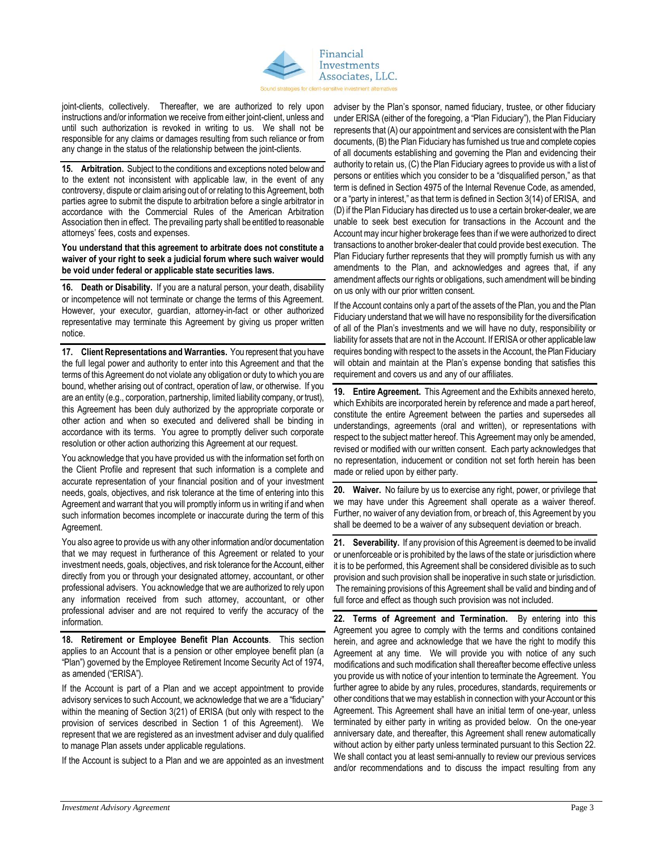

joint-clients, collectively. Thereafter, we are authorized to rely upon instructions and/or information we receive from either joint-client, unless and until such authorization is revoked in writing to us. We shall not be responsible for any claims or damages resulting from such reliance or from any change in the status of the relationship between the joint-clients.

**15. Arbitration.** Subject to the conditions and exceptions noted below and to the extent not inconsistent with applicable law, in the event of any controversy, dispute or claim arising out of or relating to this Agreement, both parties agree to submit the dispute to arbitration before a single arbitrator in accordance with the Commercial Rules of the American Arbitration Association then in effect. The prevailing party shall be entitled to reasonable attorneys' fees, costs and expenses.

**You understand that this agreement to arbitrate does not constitute a waiver of your right to seek a judicial forum where such waiver would be void under federal or applicable state securities laws.**

**16. Death or Disability.** If you are a natural person, your death, disability or incompetence will not terminate or change the terms of this Agreement. However, your executor, guardian, attorney-in-fact or other authorized representative may terminate this Agreement by giving us proper written notice.

**17. Client Representations and Warranties.** You represent that you have the full legal power and authority to enter into this Agreement and that the terms of this Agreement do not violate any obligation or duty to which you are bound, whether arising out of contract, operation of law, or otherwise. If you are an entity (e.g., corporation, partnership, limited liability company, or trust), this Agreement has been duly authorized by the appropriate corporate or other action and when so executed and delivered shall be binding in accordance with its terms. You agree to promptly deliver such corporate resolution or other action authorizing this Agreement at our request.

You acknowledge that you have provided us with the information set forth on the Client Profile and represent that such information is a complete and accurate representation of your financial position and of your investment needs, goals, objectives, and risk tolerance at the time of entering into this Agreement and warrant that you will promptly inform us in writing if and when such information becomes incomplete or inaccurate during the term of this Agreement.

You also agree to provide us with any other information and/or documentation that we may request in furtherance of this Agreement or related to your investment needs, goals, objectives, and risk tolerance for the Account, either directly from you or through your designated attorney, accountant, or other professional advisers. You acknowledge that we are authorized to rely upon any information received from such attorney, accountant, or other professional adviser and are not required to verify the accuracy of the information.

**18. Retirement or Employee Benefit Plan Accounts**. This section applies to an Account that is a pension or other employee benefit plan (a "Plan") governed by the Employee Retirement Income Security Act of 1974, as amended ("ERISA").

If the Account is part of a Plan and we accept appointment to provide advisory services to such Account, we acknowledge that we are a "fiduciary" within the meaning of Section 3(21) of ERISA (but only with respect to the provision of services described in Section 1 of this Agreement). We represent that we are registered as an investment adviser and duly qualified to manage Plan assets under applicable regulations.

If the Account is subject to a Plan and we are appointed as an investment

adviser by the Plan's sponsor, named fiduciary, trustee, or other fiduciary under ERISA (either of the foregoing, a "Plan Fiduciary"), the Plan Fiduciary represents that (A) our appointment and services are consistent with the Plan documents, (B) the Plan Fiduciary has furnished us true and complete copies of all documents establishing and governing the Plan and evidencing their authority to retain us, (C) the Plan Fiduciary agrees to provide us with a list of persons or entities which you consider to be a "disqualified person," as that term is defined in Section 4975 of the Internal Revenue Code, as amended, or a "party in interest," as that term is defined in Section 3(14) of ERISA, and (D) if the Plan Fiduciary has directed us to use a certain broker-dealer, we are unable to seek best execution for transactions in the Account and the Account may incur higher brokerage fees than if we were authorized to direct transactions to another broker-dealer that could provide best execution. The Plan Fiduciary further represents that they will promptly furnish us with any amendments to the Plan, and acknowledges and agrees that, if any amendment affects our rights or obligations, such amendment will be binding on us only with our prior written consent.

If the Account contains only a part of the assets of the Plan, you and the Plan Fiduciary understand that we will have no responsibility for the diversification of all of the Plan's investments and we will have no duty, responsibility or liability for assets that are not in the Account. If ERISA or other applicable law requires bonding with respect to the assets in the Account, the Plan Fiduciary will obtain and maintain at the Plan's expense bonding that satisfies this requirement and covers us and any of our affiliates.

**19. Entire Agreement.** This Agreement and the Exhibits annexed hereto, which Exhibits are incorporated herein by reference and made a part hereof, constitute the entire Agreement between the parties and supersedes all understandings, agreements (oral and written), or representations with respect to the subject matter hereof. This Agreement may only be amended, revised or modified with our written consent. Each party acknowledges that no representation, inducement or condition not set forth herein has been made or relied upon by either party.

**20. Waiver.** No failure by us to exercise any right, power, or privilege that we may have under this Agreement shall operate as a waiver thereof. Further, no waiver of any deviation from, or breach of, this Agreement by you shall be deemed to be a waiver of any subsequent deviation or breach.

**21. Severability.** If any provision of this Agreement is deemed to be invalid or unenforceable or is prohibited by the laws of the state or jurisdiction where it is to be performed, this Agreement shall be considered divisible as to such provision and such provision shall be inoperative in such state or jurisdiction. The remaining provisions of this Agreement shall be valid and binding and of full force and effect as though such provision was not included.

**22. Terms of Agreement and Termination.** By entering into this Agreement you agree to comply with the terms and conditions contained herein, and agree and acknowledge that we have the right to modify this Agreement at any time. We will provide you with notice of any such modifications and such modification shall thereafter become effective unless you provide us with notice of your intention to terminate the Agreement. You further agree to abide by any rules, procedures, standards, requirements or other conditions that we may establish in connection with your Account or this Agreement. This Agreement shall have an initial term of one-year, unless terminated by either party in writing as provided below. On the one-year anniversary date, and thereafter, this Agreement shall renew automatically without action by either party unless terminated pursuant to this Section 22. We shall contact you at least semi-annually to review our previous services and/or recommendations and to discuss the impact resulting from any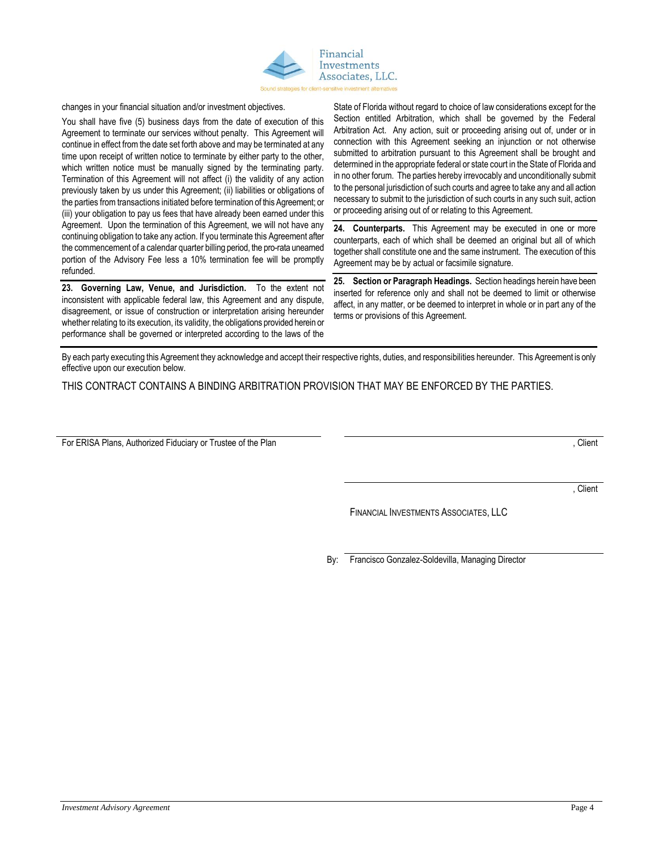

changes in your financial situation and/or investment objectives.

You shall have five (5) business days from the date of execution of this Agreement to terminate our services without penalty. This Agreement will continue in effect from the date set forth above and may be terminated at any time upon receipt of written notice to terminate by either party to the other, which written notice must be manually signed by the terminating party. Termination of this Agreement will not affect (i) the validity of any action previously taken by us under this Agreement; (ii) liabilities or obligations of the parties from transactions initiated before termination of this Agreement; or (iii) your obligation to pay us fees that have already been earned under this Agreement. Upon the termination of this Agreement, we will not have any continuing obligation to take any action. If you terminate this Agreement after the commencement of a calendar quarter billing period, the pro-rata unearned portion of the Advisory Fee less a 10% termination fee will be promptly refunded.

**23. Governing Law, Venue, and Jurisdiction.** To the extent not inconsistent with applicable federal law, this Agreement and any dispute, disagreement, or issue of construction or interpretation arising hereunder whether relating to its execution, its validity, the obligations provided herein or performance shall be governed or interpreted according to the laws of the

State of Florida without regard to choice of law considerations except for the Section entitled Arbitration, which shall be governed by the Federal Arbitration Act. Any action, suit or proceeding arising out of, under or in connection with this Agreement seeking an injunction or not otherwise submitted to arbitration pursuant to this Agreement shall be brought and determined in the appropriate federal or state court in the State of Florida and in no other forum. The parties hereby irrevocably and unconditionally submit to the personal jurisdiction of such courts and agree to take any and all action necessary to submit to the jurisdiction of such courts in any such suit, action or proceeding arising out of or relating to this Agreement.

**24. Counterparts.** This Agreement may be executed in one or more counterparts, each of which shall be deemed an original but all of which together shall constitute one and the same instrument. The execution of this Agreement may be by actual or facsimile signature.

**25. Section or Paragraph Headings.** Section headings herein have been inserted for reference only and shall not be deemed to limit or otherwise affect, in any matter, or be deemed to interpret in whole or in part any of the terms or provisions of this Agreement.

By each party executing this Agreement they acknowledge and accept their respective rights, duties, and responsibilities hereunder. This Agreement is only effective upon our execution below.

THIS CONTRACT CONTAINS A BINDING ARBITRATION PROVISION THAT MAY BE ENFORCED BY THE PARTIES.

For ERISA Plans, Authorized Fiduciary or Trustee of the Plan  $\blacksquare$ 

**Client** 

FINANCIAL INVESTMENTS ASSOCIATES, LLC

By: Francisco Gonzalez-Soldevilla, Managing Director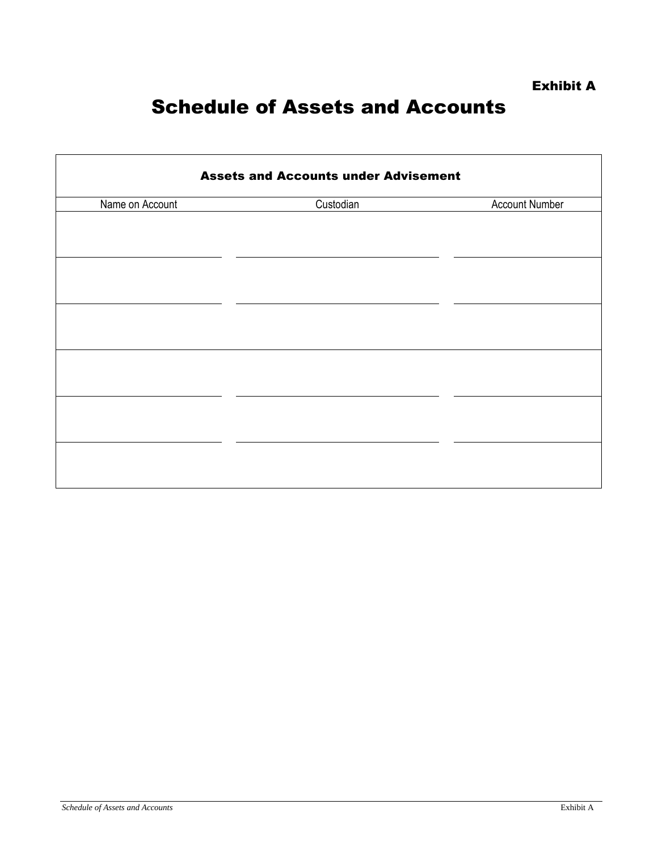## Schedule of Assets and Accounts

| <b>Assets and Accounts under Advisement</b> |           |                       |
|---------------------------------------------|-----------|-----------------------|
| Name on Account                             | Custodian | <b>Account Number</b> |
|                                             |           |                       |
|                                             |           |                       |
|                                             |           |                       |
|                                             |           |                       |
|                                             |           |                       |
|                                             |           |                       |
|                                             |           |                       |
|                                             |           |                       |
|                                             |           |                       |
|                                             |           |                       |
|                                             |           |                       |